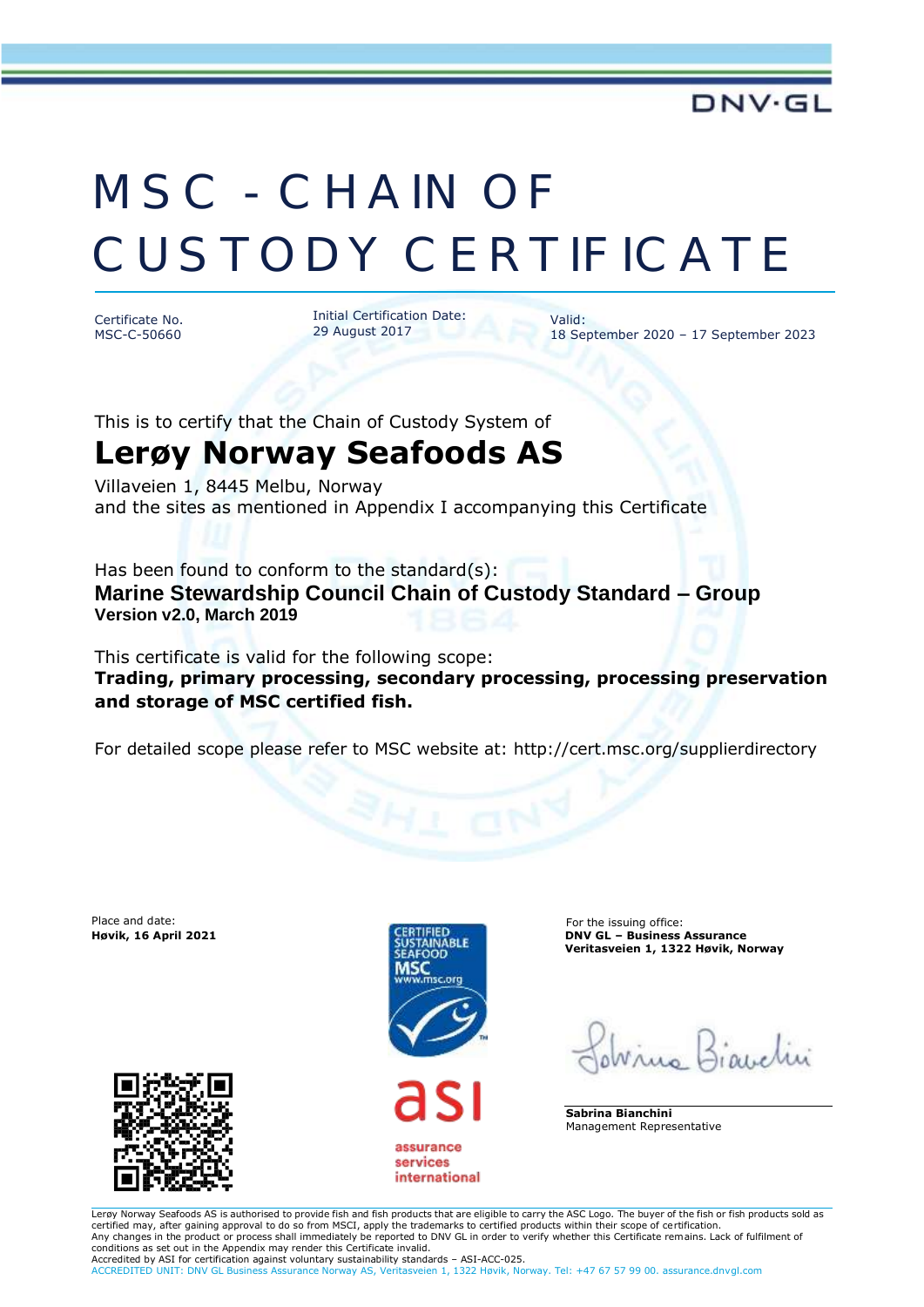## MSC - CHAIN OF CUSTODY CERTIFICATE

Certificate No. MSC-C-50660 Initial Certification Date: 29 August 2017

18 September 2020 – 17 September 2023

Valid:

This is to certify that the Chain of Custody System of **Lerøy Norway Seafoods AS**

Villaveien 1, 8445 Melbu, Norway and the sites as mentioned in Appendix I accompanying this Certificate

Has been found to conform to the standard(s): **Marine Stewardship Council Chain of Custody Standard – Group Version v2.0, March 2019**

This certificate is valid for the following scope: **Trading, primary processing, secondary processing, processing preservation and storage of MSC certified fish.** 

For detailed scope please refer to MSC website at: http://cert.msc.org/supplierdirectory

Place and date: For the issuing office:





assurance services international

**Høvik, 16 April 2021 DNV GL – Business Assurance Veritasveien 1, 1322 Høvik, Norway**

**Sabrina Bianchini** Management Representative

Lerøy Norway Seafoods AS is authorised to provide fish and fish products that are eligible to carry the ASC Logo. The buyer of the fish or fish products sold as certified may, after gaining approval to do so from MSCI, apply the trademarks to certified products within their scope of certification. Any changes in the product or process shall immediately be reported to DNV GL in order to verify whether this Certificate remains. Lack of fulfilment of conditions as set out in the Appendix may render this Certificate invalid. Accredited by ASI for certification against voluntary sustainability standards – ASI-ACC-025.

ACCREDITED UNIT: DNV GL Business Assurance Norway AS, Veritasveien 1, 1322 Høvik, Norway. Tel: +47 67 57 99 00. assurance.dnvgl.com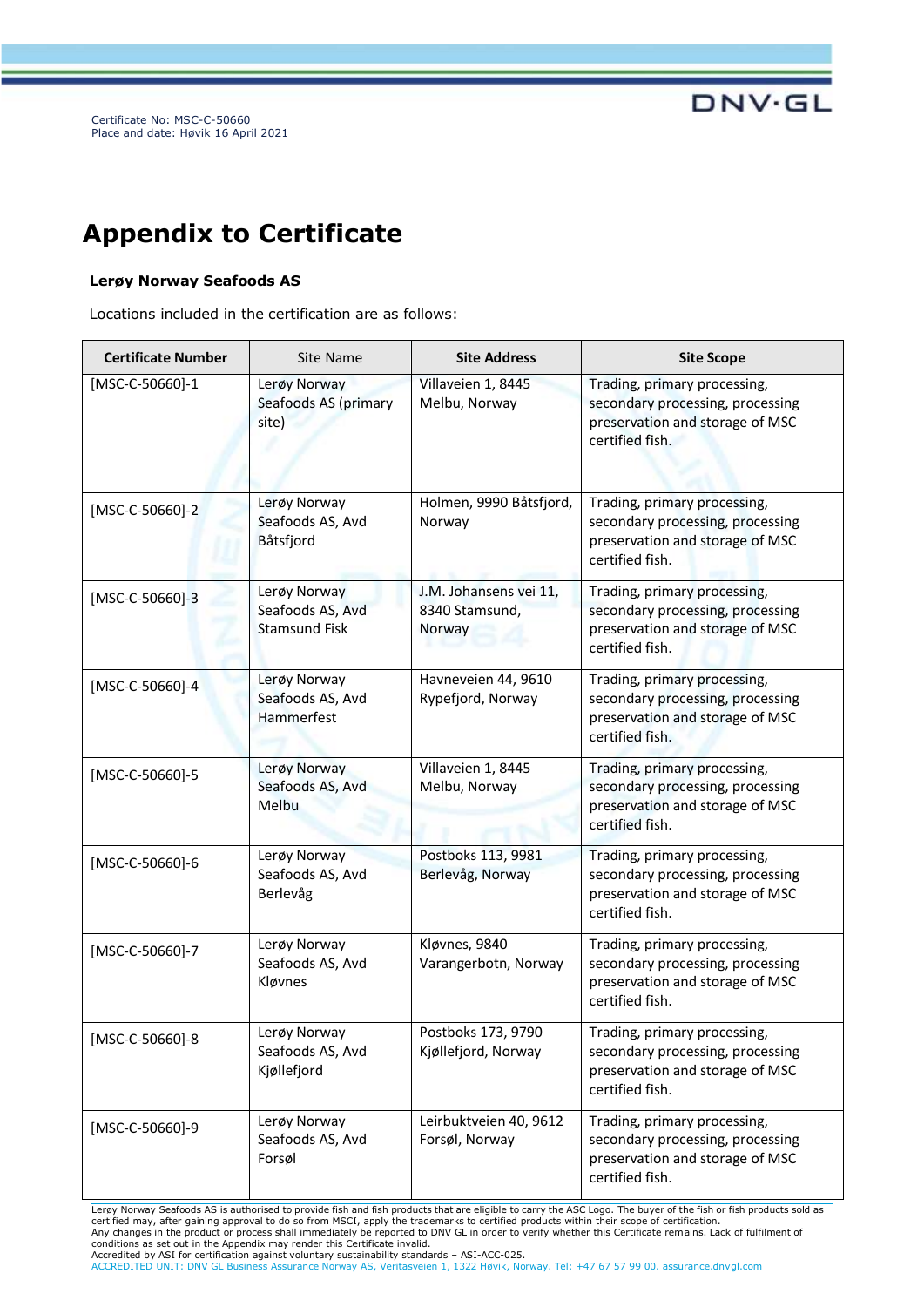Certificate No: MSC-C-50660 Place and date: Høvik 16 April 2021

## **Appendix to Certificate**

## **Lerøy Norway Seafoods AS**

Locations included in the certification are as follows:

| <b>Certificate Number</b> | Site Name                                                | <b>Site Address</b>                                | <b>Site Scope</b>                                                                                                      |
|---------------------------|----------------------------------------------------------|----------------------------------------------------|------------------------------------------------------------------------------------------------------------------------|
| [MSC-C-50660]-1           | Lerøy Norway<br>Seafoods AS (primary<br>site)            | Villaveien 1, 8445<br>Melbu, Norway                | Trading, primary processing,<br>secondary processing, processing<br>preservation and storage of MSC<br>certified fish. |
| $[MSC-C-50660]-2$         | Lerøy Norway<br>Seafoods AS, Avd<br>Båtsfjord            | Holmen, 9990 Båtsfjord,<br>Norway                  | Trading, primary processing,<br>secondary processing, processing<br>preservation and storage of MSC<br>certified fish. |
| $[MSC-C-50660] - 3$       | Lerøy Norway<br>Seafoods AS, Avd<br><b>Stamsund Fisk</b> | J.M. Johansens vei 11,<br>8340 Stamsund,<br>Norway | Trading, primary processing,<br>secondary processing, processing<br>preservation and storage of MSC<br>certified fish. |
| $[MSC-C-50660] - 4$       | Lerøy Norway<br>Seafoods AS, Avd<br>Hammerfest           | Havneveien 44, 9610<br>Rypefjord, Norway           | Trading, primary processing,<br>secondary processing, processing<br>preservation and storage of MSC<br>certified fish. |
| [MSC-C-50660]-5           | Lerøy Norway<br>Seafoods AS, Avd<br>Melbu                | Villaveien 1, 8445<br>Melbu, Norway                | Trading, primary processing,<br>secondary processing, processing<br>preservation and storage of MSC<br>certified fish. |
| [MSC-C-50660]-6           | Lerøy Norway<br>Seafoods AS, Avd<br>Berlevåg             | Postboks 113, 9981<br>Berlevåg, Norway             | Trading, primary processing,<br>secondary processing, processing<br>preservation and storage of MSC<br>certified fish. |
| $[MSC-C-50660]-7$         | Lerøy Norway<br>Seafoods AS, Avd<br>Kløvnes              | Kløvnes, 9840<br>Varangerbotn, Norway              | Trading, primary processing,<br>secondary processing, processing<br>preservation and storage of MSC<br>certified fish. |
| $[MSC-C-50660]-8$         | Lerøy Norway<br>Seafoods AS, Avd<br>Kjøllefjord          | Postboks 173, 9790<br>Kjøllefjord, Norway          | Trading, primary processing,<br>secondary processing, processing<br>preservation and storage of MSC<br>certified fish. |
| [MSC-C-50660]-9           | Lerøy Norway<br>Seafoods AS, Avd<br>Forsøl               | Leirbuktveien 40, 9612<br>Forsøl, Norway           | Trading, primary processing,<br>secondary processing, processing<br>preservation and storage of MSC<br>certified fish. |

Lerøy Norway Seafoods AS is authorised to provide fish and fish products that are eligible to carry the ASC Logo. The buyer of the fish or fish products sold as certified may, after gaining approval to do so from MSCI, apply the trademarks to certified products within their scope of certification.<br>Any changes in the product or process shall immediately be reported to DNV GL in ord

conditions as set out in the Appendix may render this Certificate invalid.<br>Accredited by ASI for certification against voluntary sustainability standards – ASI-ACC-025.<br>ACCREDITED UNIT: DNV GL Business Assurance Norway AS,